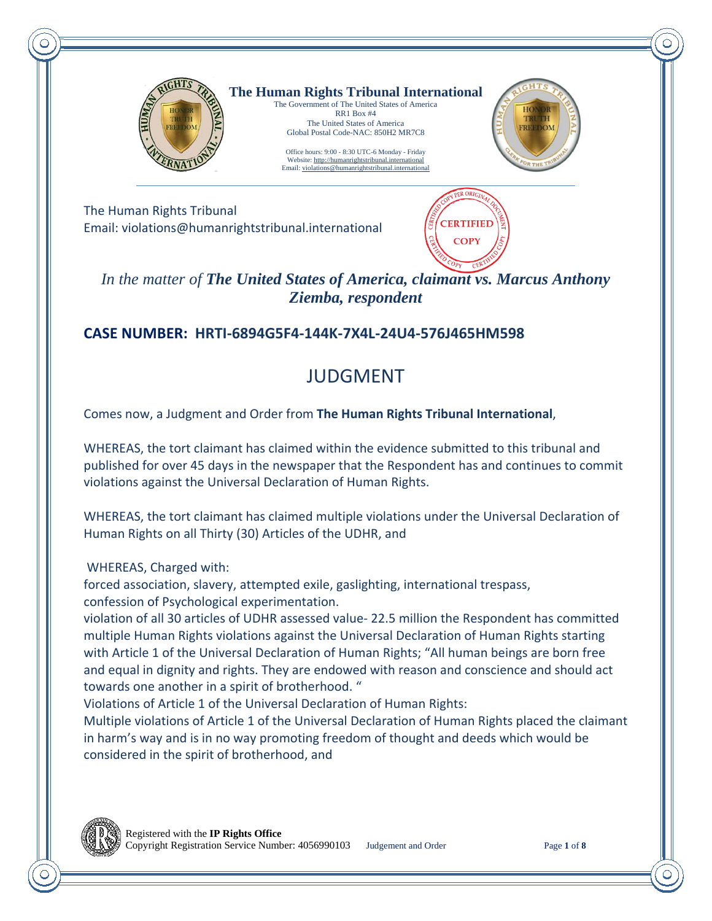

**The Human Rights Tribunal International** The Government of The United States of America

RR1 Box #4 The United States of America Global Postal Code-NAC: 850H2 MR7C8

Office hours: 9:00 - 8:30 UTC-6 Monday - Friday Website[: http://humanrightstribunal.international](http://humanrightstribunal.international/) Email: violations@humanrightstribunal.intern



The Human Rights Tribunal Email: violations@humanrightstribunal.international



*In the matter of The United States of America, claimant vs. Marcus Anthony Ziemba, respondent*

## **CASE NUMBER: HRTI-6894G5F4-144K-7X4L-24U4-576J465HM598**

# JUDGMENT

Comes now, a Judgment and Order from **The Human Rights Tribunal International**,

WHEREAS, the tort claimant has claimed within the evidence submitted to this tribunal and published for over 45 days in the newspaper that the Respondent has and continues to commit violations against the Universal Declaration of Human Rights.

WHEREAS, the tort claimant has claimed multiple violations under the Universal Declaration of Human Rights on all Thirty (30) Articles of the UDHR, and

WHEREAS, Charged with:

forced association, slavery, attempted exile, gaslighting, international trespass, confession of Psychological experimentation.

violation of all 30 articles of UDHR assessed value- 22.5 million the Respondent has committed multiple Human Rights violations against the Universal Declaration of Human Rights starting with Article 1 of the Universal Declaration of Human Rights; "All human beings are born free and equal in dignity and rights. They are endowed with reason and conscience and should act towards one another in a spirit of brotherhood. "

Violations of Article 1 of the Universal Declaration of Human Rights:

Multiple violations of Article 1 of the Universal Declaration of Human Rights placed the claimant in harm's way and is in no way promoting freedom of thought and deeds which would be considered in the spirit of brotherhood, and

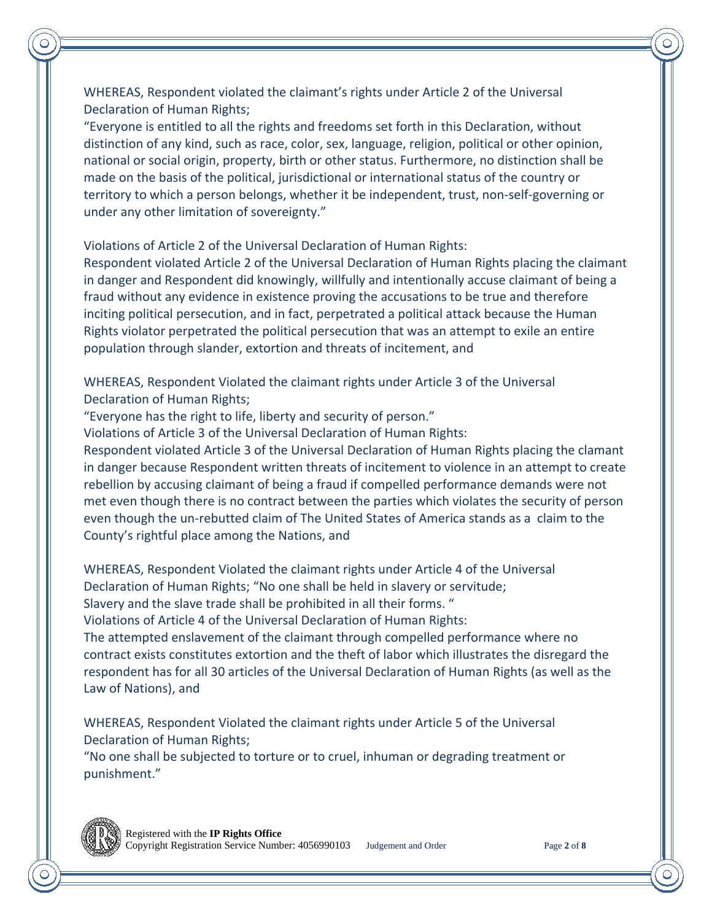WHEREAS, Respondent violated the claimant's rights under Article 2 of the Universal Declaration of Human Rights;

"Everyone is entitled to all the rights and freedoms set forth in this Declaration, without distinction of any kind, such as race, color, sex, language, religion, political or other opinion, national or social origin, property, birth or other status. Furthermore, no distinction shall be made on the basis of the political, jurisdictional or international status of the country or territory to which a person belongs, whether it be independent, trust, non-self-governing or under any other limitation of sovereignty."

Violations of Article 2 of the Universal Declaration of Human Rights:

Respondent violated Article 2 of the Universal Declaration of Human Rights placing the claimant in danger and Respondent did knowingly, willfully and intentionally accuse claimant of being a fraud without any evidence in existence proving the accusations to be true and therefore inciting political persecution, and in fact, perpetrated a political attack because the Human Rights violator perpetrated the political persecution that was an attempt to exile an entire population through slander, extortion and threats of incitement, and

WHEREAS, Respondent Violated the claimant rights under Article 3 of the Universal Declaration of Human Rights;

"Everyone has the right to life, liberty and security of person."

Violations of Article 3 of the Universal Declaration of Human Rights:

Respondent violated Article 3 of the Universal Declaration of Human Rights placing the clamant in danger because Respondent written threats of incitement to violence in an attempt to create rebellion by accusing claimant of being a fraud if compelled performance demands were not met even though there is no contract between the parties which violates the security of person even though the un-rebutted claim of The United States of America stands as a claim to the County's rightful place among the Nations, and

WHEREAS, Respondent Violated the claimant rights under Article 4 of the Universal Declaration of Human Rights; "No one shall be held in slavery or servitude; Slavery and the slave trade shall be prohibited in all their forms. " Violations of Article 4 of the Universal Declaration of Human Rights:

The attempted enslavement of the claimant through compelled performance where no contract exists constitutes extortion and the theft of labor which illustrates the disregard the respondent has for all 30 articles of the Universal Declaration of Human Rights (as well as the Law of Nations), and

WHEREAS, Respondent Violated the claimant rights under Article 5 of the Universal Declaration of Human Rights;

"No one shall be subjected to torture or to cruel, inhuman or degrading treatment or punishment."

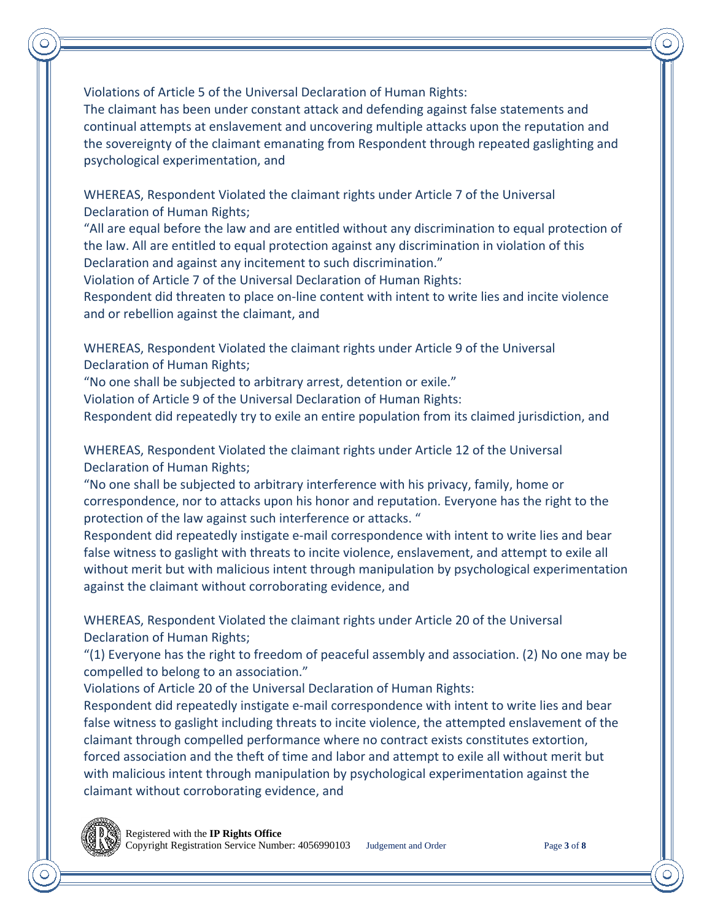Violations of Article 5 of the Universal Declaration of Human Rights:

The claimant has been under constant attack and defending against false statements and continual attempts at enslavement and uncovering multiple attacks upon the reputation and the sovereignty of the claimant emanating from Respondent through repeated gaslighting and psychological experimentation, and

WHEREAS, Respondent Violated the claimant rights under Article 7 of the Universal Declaration of Human Rights;

"All are equal before the law and are entitled without any discrimination to equal protection of the law. All are entitled to equal protection against any discrimination in violation of this Declaration and against any incitement to such discrimination."

Violation of Article 7 of the Universal Declaration of Human Rights:

Respondent did threaten to place on-line content with intent to write lies and incite violence and or rebellion against the claimant, and

WHEREAS, Respondent Violated the claimant rights under Article 9 of the Universal Declaration of Human Rights;

"No one shall be subjected to arbitrary arrest, detention or exile."

Violation of Article 9 of the Universal Declaration of Human Rights:

Respondent did repeatedly try to exile an entire population from its claimed jurisdiction, and

WHEREAS, Respondent Violated the claimant rights under Article 12 of the Universal Declaration of Human Rights;

"No one shall be subjected to arbitrary interference with his privacy, family, home or correspondence, nor to attacks upon his honor and reputation. Everyone has the right to the protection of the law against such interference or attacks. "

Respondent did repeatedly instigate e-mail correspondence with intent to write lies and bear false witness to gaslight with threats to incite violence, enslavement, and attempt to exile all without merit but with malicious intent through manipulation by psychological experimentation against the claimant without corroborating evidence, and

WHEREAS, Respondent Violated the claimant rights under Article 20 of the Universal Declaration of Human Rights;

"(1) Everyone has the right to freedom of peaceful assembly and association. (2) No one may be compelled to belong to an association."

Violations of Article 20 of the Universal Declaration of Human Rights:

Respondent did repeatedly instigate e-mail correspondence with intent to write lies and bear false witness to gaslight including threats to incite violence, the attempted enslavement of the claimant through compelled performance where no contract exists constitutes extortion, forced association and the theft of time and labor and attempt to exile all without merit but with malicious intent through manipulation by psychological experimentation against the claimant without corroborating evidence, and

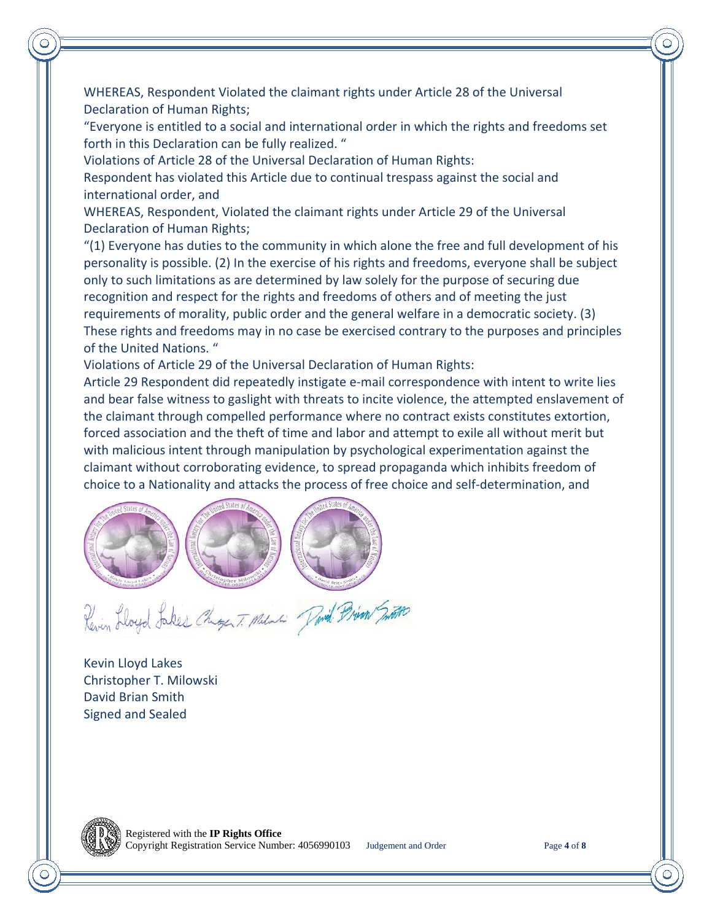WHEREAS, Respondent Violated the claimant rights under Article 28 of the Universal Declaration of Human Rights;

"Everyone is entitled to a social and international order in which the rights and freedoms set forth in this Declaration can be fully realized. "

Violations of Article 28 of the Universal Declaration of Human Rights:

Respondent has violated this Article due to continual trespass against the social and international order, and

WHEREAS, Respondent, Violated the claimant rights under Article 29 of the Universal Declaration of Human Rights;

"(1) Everyone has duties to the community in which alone the free and full development of his personality is possible. (2) In the exercise of his rights and freedoms, everyone shall be subject only to such limitations as are determined by law solely for the purpose of securing due recognition and respect for the rights and freedoms of others and of meeting the just requirements of morality, public order and the general welfare in a democratic society. (3) These rights and freedoms may in no case be exercised contrary to the purposes and principles of the United Nations. "

Violations of Article 29 of the Universal Declaration of Human Rights:

Article 29 Respondent did repeatedly instigate e-mail correspondence with intent to write lies and bear false witness to gaslight with threats to incite violence, the attempted enslavement of the claimant through compelled performance where no contract exists constitutes extortion, forced association and the theft of time and labor and attempt to exile all without merit but with malicious intent through manipulation by psychological experimentation against the claimant without corroborating evidence, to spread propaganda which inhibits freedom of choice to a Nationality and attacks the process of free choice and self-determination, and



Revin Lloyd Jakes Chage T. Melanti Pavid Prison Smoon

Kevin Lloyd Lakes Christopher T. Milowski David Brian Smith Signed and Sealed

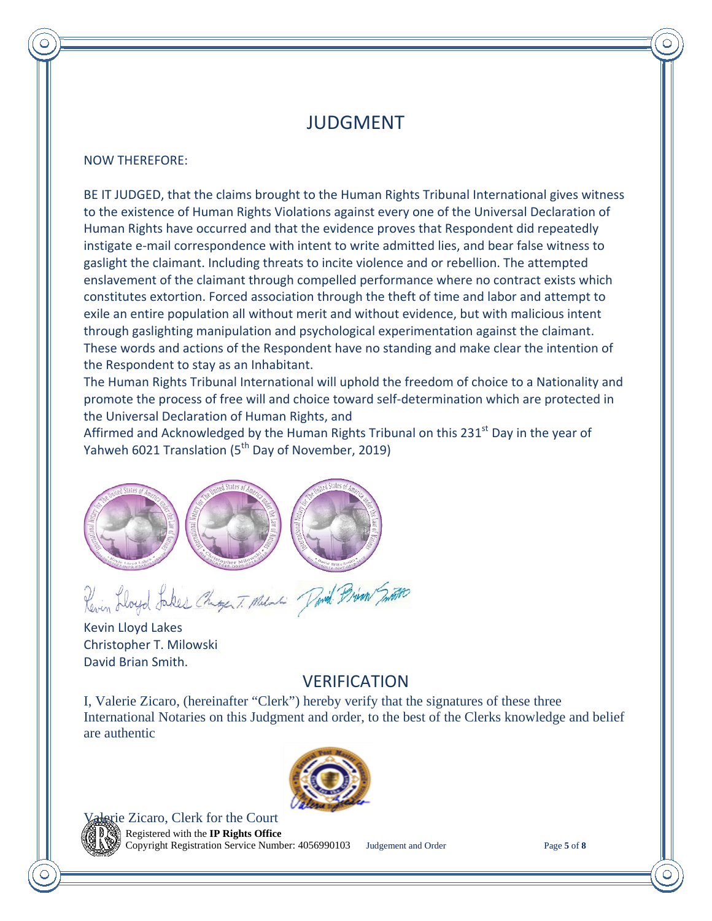## JUDGMENT

#### NOW THEREFORE:

BE IT JUDGED, that the claims brought to the Human Rights Tribunal International gives witness to the existence of Human Rights Violations against every one of the Universal Declaration of Human Rights have occurred and that the evidence proves that Respondent did repeatedly instigate e-mail correspondence with intent to write admitted lies, and bear false witness to gaslight the claimant. Including threats to incite violence and or rebellion. The attempted enslavement of the claimant through compelled performance where no contract exists which constitutes extortion. Forced association through the theft of time and labor and attempt to exile an entire population all without merit and without evidence, but with malicious intent through gaslighting manipulation and psychological experimentation against the claimant. These words and actions of the Respondent have no standing and make clear the intention of the Respondent to stay as an Inhabitant.

The Human Rights Tribunal International will uphold the freedom of choice to a Nationality and promote the process of free will and choice toward self-determination which are protected in the Universal Declaration of Human Rights, and

Affirmed and Acknowledged by the Human Rights Tribunal on this 231<sup>st</sup> Day in the year of Yahweh 6021 Translation (5<sup>th</sup> Day of November, 2019)



Revin Lloyd Jakes Chiger T. Milne Pavid Prim Smith

Kevin Lloyd Lakes Christopher T. Milowski David Brian Smith.

#### VERIFICATION

I, Valerie Zicaro, (hereinafter "Clerk") hereby verify that the signatures of these three International Notaries on this Judgment and order, to the best of the Clerks knowledge and belief are authentic



**Example 2 Example 2 Court** 

Registered with the **IP Rights Office** Copyright Registration Service Number: 4056990103 Judgement and Order Page **5** of **8**

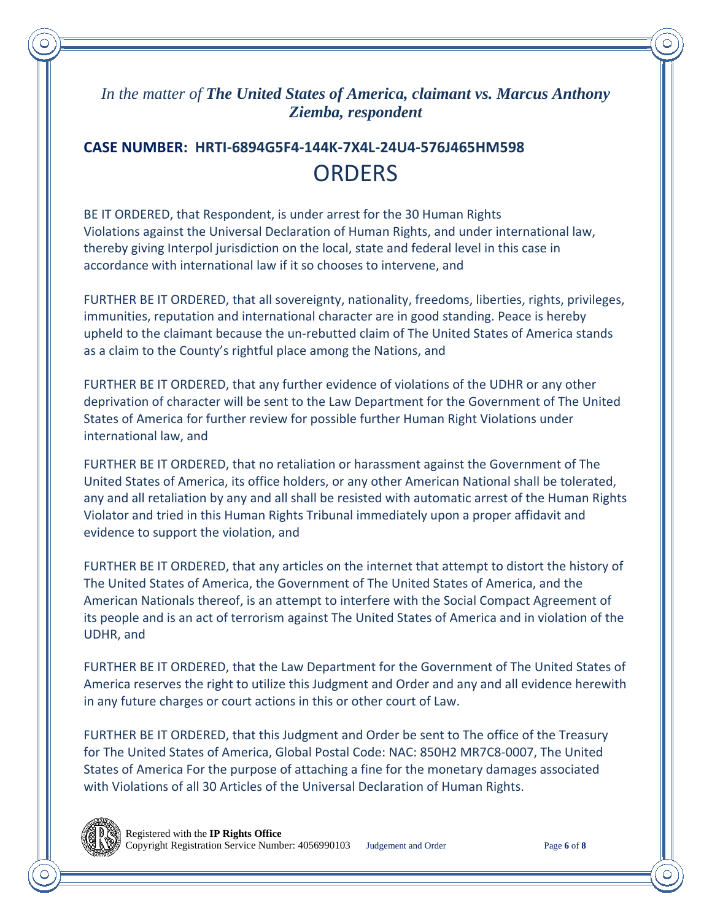#### *In the matter of The United States of America, claimant vs. Marcus Anthony Ziemba, respondent*

# **CASE NUMBER: HRTI-6894G5F4-144K-7X4L-24U4-576J465HM598 ORDERS**

BE IT ORDERED, that Respondent, is under arrest for the 30 Human Rights Violations against the Universal Declaration of Human Rights, and under international law, thereby giving Interpol jurisdiction on the local, state and federal level in this case in accordance with international law if it so chooses to intervene, and

FURTHER BE IT ORDERED, that all sovereignty, nationality, freedoms, liberties, rights, privileges, immunities, reputation and international character are in good standing. Peace is hereby upheld to the claimant because the un-rebutted claim of The United States of America stands as a claim to the County's rightful place among the Nations, and

FURTHER BE IT ORDERED, that any further evidence of violations of the UDHR or any other deprivation of character will be sent to the Law Department for the Government of The United States of America for further review for possible further Human Right Violations under international law, and

FURTHER BE IT ORDERED, that no retaliation or harassment against the Government of The United States of America, its office holders, or any other American National shall be tolerated, any and all retaliation by any and all shall be resisted with automatic arrest of the Human Rights Violator and tried in this Human Rights Tribunal immediately upon a proper affidavit and evidence to support the violation, and

FURTHER BE IT ORDERED, that any articles on the internet that attempt to distort the history of The United States of America, the Government of The United States of America, and the American Nationals thereof, is an attempt to interfere with the Social Compact Agreement of its people and is an act of terrorism against The United States of America and in violation of the UDHR, and

FURTHER BE IT ORDERED, that the Law Department for the Government of The United States of America reserves the right to utilize this Judgment and Order and any and all evidence herewith in any future charges or court actions in this or other court of Law.

FURTHER BE IT ORDERED, that this Judgment and Order be sent to The office of the Treasury for The United States of America, Global Postal Code: NAC: 850H2 MR7C8-0007, The United States of America For the purpose of attaching a fine for the monetary damages associated with Violations of all 30 Articles of the Universal Declaration of Human Rights.

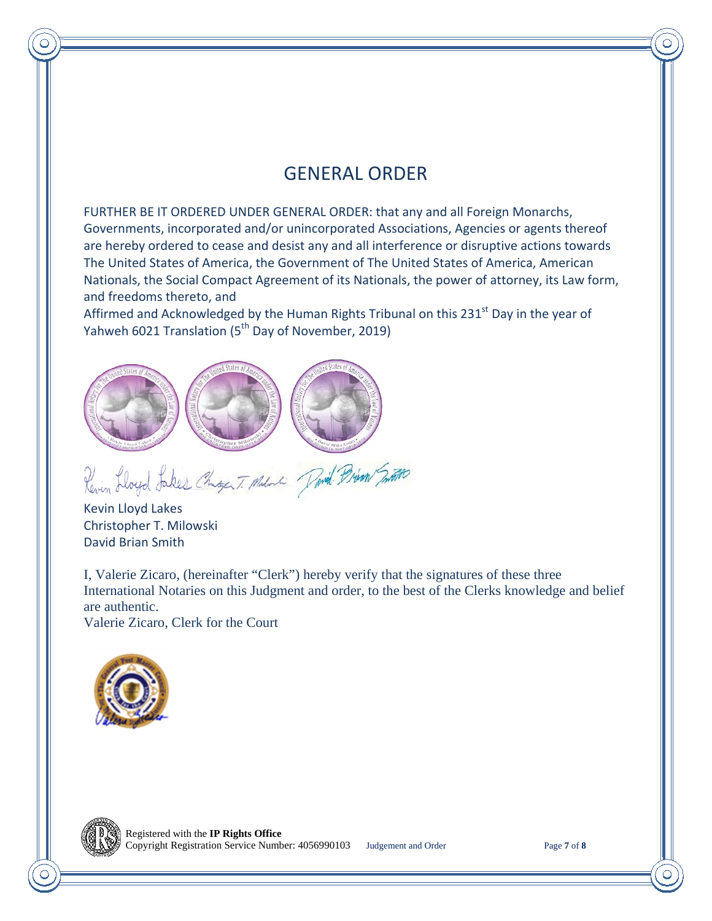# GENERAL ORDER

FURTHER BE IT ORDERED UNDER GENERAL ORDER: that any and all Foreign Monarchs, Governments, incorporated and/or unincorporated Associations, Agencies or agents thereof are hereby ordered to cease and desist any and all interference or disruptive actions towards The United States of America, the Government of The United States of America, American Nationals, the Social Compact Agreement of its Nationals, the power of attorney, its Law form, and freedoms thereto, and

Affirmed and Acknowledged by the Human Rights Tribunal on this 231<sup>st</sup> Day in the year of Yahweh 6021 Translation (5<sup>th</sup> Day of November, 2019)



Revin Lloyd Jakes Chage T. Melanti Pavid Prim Smith

Kevin Lloyd Lakes Christopher T. Milowski David Brian Smith

I, Valerie Zicaro, (hereinafter "Clerk") hereby verify that the signatures of these three International Notaries on this Judgment and order, to the best of the Clerks knowledge and belief are authentic.

Valerie Zicaro, Clerk for the Court